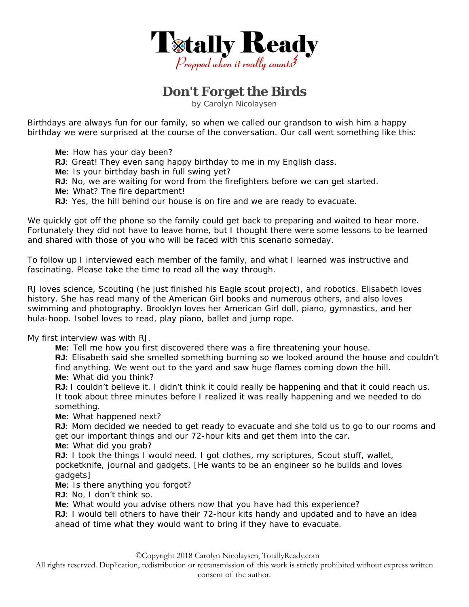

## **Don't Forget the Birds**

by Carolyn Nicolaysen

Birthdays are always fun for our family, so when we called our grandson to wish him a happy birthday we were surprised at the course of the conversation. Our call went something like this:

- **Me**: How has your day been?
- **RJ**: Great! They even sang happy birthday to me in my English class.
- **Me**: Is your birthday bash in full swing yet?
- **RJ**: No, we are waiting for word from the firefighters before we can get started.
- **Me**: What? The fire department!
- **RJ**: Yes, the hill behind our house is on fire and we are ready to evacuate.

We quickly got off the phone so the family could get back to preparing and waited to hear more. Fortunately they did not have to leave home, but I thought there were some lessons to be learned and shared with those of you who will be faced with this scenario someday.

To follow up I interviewed each member of the family, and what I learned was instructive and fascinating. Please take the time to read all the way through.

RJ loves science, Scouting (he just finished his Eagle scout project), and robotics. Elisabeth loves history. She has read many of the American Girl books and numerous others, and also loves swimming and photography. Brooklyn loves her American Girl doll, piano, gymnastics, and her hula-hoop. Isobel loves to read, play piano, ballet and jump rope.

My first interview was with RJ.

**Me**: Tell me how you first discovered there was a fire threatening your house.

**RJ**: Elisabeth said she smelled something burning so we looked around the house and couldn't find anything. We went out to the yard and saw huge flames coming down the hill. **Me**: What did you think?

**RJ:** I couldn't believe it. I didn't think it could really be happening and that it could reach us. It took about three minutes before I realized it was really happening and we needed to do something.

**Me**: What happened next?

**RJ**: Mom decided we needed to get ready to evacuate and she told us to go to our rooms and get our important things and our 72-hour kits and get them into the car.

**Me**: What did you grab?

**RJ:** I took the things I would need. I got clothes, my scriptures, Scout stuff, wallet, pocketknife, journal and gadgets. [He wants to be an engineer so he builds and loves gadgets]

**Me**: Is there anything you forgot?

**RJ**: No, I don't think so.

**Me**: What would you advise others now that you have had this experience?

**RJ**: I would tell others to have their 72-hour kits handy and updated and to have an idea ahead of time what they would want to bring if they have to evacuate.

©Copyright 2018 Carolyn Nicolaysen, TotallyReady.com

All rights reserved. Duplication, redistribution or retransmission of this work is strictly prohibited without express written consent of the author.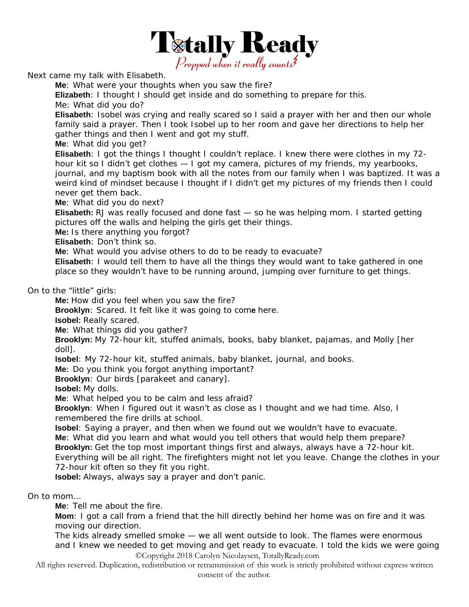

Next came my talk with Elisabeth.

**Me**: What were your thoughts when you saw the fire?

**Elizabeth**: I thought I should get inside and do something to prepare for this.

Me: What did you do?

**Elisabeth**: Isobel was crying and really scared so I said a prayer with her and then our whole family said a prayer. Then I took Isobel up to her room and gave her directions to help her gather things and then I went and got my stuff.

**Me**: What did you get?

**Elisabeth**: I got the things I thought I couldn't replace. I knew there were clothes in my 72 hour kit so I didn't get clothes — I got my camera, pictures of my friends, my yearbooks, journal, and my baptism book with all the notes from our family when I was baptized. It was a weird kind of mindset because I thought if I didn't get my pictures of my friends then I could never get them back.

**Me**: What did you do next?

**Elisabeth:** RJ was really focused and done fast — so he was helping mom. I started getting pictures off the walls and helping the girls get their things.

**Me:** Is there anything you forgot?

**Elisabeth**: Don't think so.

**Me**: What would you advise others to do to be ready to evacuate?

**Elisabeth**: I would tell them to have all the things they would want to take gathered in one place so they wouldn't have to be running around, jumping over furniture to get things.

On to the "little" girls:

**Me:** How did you feel when you saw the fire?

**Brooklyn**: Scared. It felt like it was going to com**e** here.

**Isobel:** Really scared.

**Me**: What things did you gather?

**Brooklyn:** My 72-hour kit, stuffed animals, books, baby blanket, pajamas, and Molly [her doll].

**Isobel**: My 72-hour kit, stuffed animals, baby blanket, journal, and books.

**Me**: Do you think you forgot anything important?

**Brooklyn**: Our birds [parakeet and canary].

**Isobel:** My dolls.

**Me**: What helped you to be calm and less afraid?

**Brooklyn**: When I figured out it wasn't as close as I thought and we had time. Also, I remembered the fire drills at school.

**Isobel**: Saying a prayer, and then when we found out we wouldn't have to evacuate. **Me**: What did you learn and what would you tell others that would help them prepare? **Brooklyn:** Get the top most important things first and always, always have a 72-hour kit. Everything will be all right. The firefighters might not let you leave. Change the clothes in your 72-hour kit often so they fit you right.

**Isobel:** Always, always say a prayer and don't panic.

On to mom…

**Me**: Tell me about the fire.

**Mom**: I got a call from a friend that the hill directly behind her home was on fire and it was moving our direction.

©Copyright 2018 Carolyn Nicolaysen, TotallyReady.com The kids already smelled smoke — we all went outside to look. The flames were enormous and I knew we needed to get moving and get ready to evacuate. I told the kids we were going

All rights reserved. Duplication, redistribution or retransmission of this work is strictly prohibited without express written consent of the author.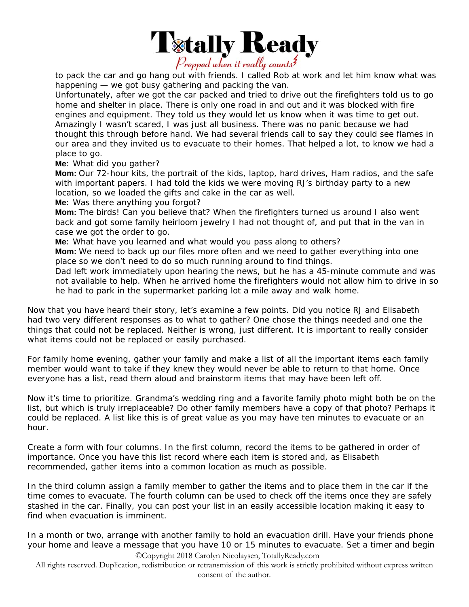

to pack the car and go hang out with friends. I called Rob at work and let him know what was happening — we got busy gathering and packing the van.

Unfortunately, after we got the car packed and tried to drive out the firefighters told us to go home and shelter in place. There is only one road in and out and it was blocked with fire engines and equipment. They told us they would let us know when it was time to get out. Amazingly I wasn't scared, I was just all business. There was no panic because we had thought this through before hand. We had several friends call to say they could see flames in our area and they invited us to evacuate to their homes. That helped a lot, to know we had a place to go.

**Me**: What did you gather?

**Mom:** Our 72-hour kits, the portrait of the kids, laptop, hard drives, Ham radios, and the safe with important papers. I had told the kids we were moving RJ's birthday party to a new location, so we loaded the gifts and cake in the car as well.

**Me**: Was there anything you forgot?

**Mom:** The birds! Can you believe that? When the firefighters turned us around I also went back and got some family heirloom jewelry I had not thought of, and put that in the van in case we got the order to go.

**Me**: What have you learned and what would you pass along to others?

**Mom:** We need to back up our files more often and we need to gather everything into one place so we don't need to do so much running around to find things.

Dad left work immediately upon hearing the news, but he has a 45-minute commute and was not available to help. When he arrived home the firefighters would not allow him to drive in so he had to park in the supermarket parking lot a mile away and walk home.

Now that you have heard their story, let's examine a few points. Did you notice RJ and Elisabeth had two very different responses as to what to gather? One chose the things needed and one the things that could not be replaced. Neither is wrong, just different. It is important to really consider what items could not be replaced or easily purchased.

For family home evening, gather your family and make a list of all the important items each family member would want to take if they knew they would never be able to return to that home. Once everyone has a list, read them aloud and brainstorm items that may have been left off.

Now it's time to prioritize. Grandma's wedding ring and a favorite family photo might both be on the list, but which is truly irreplaceable? Do other family members have a copy of that photo? Perhaps it could be replaced. A list like this is of great value as you may have ten minutes to evacuate or an hour.

Create a form with four columns. In the first column, record the items to be gathered in order of importance. Once you have this list record where each item is stored and, as Elisabeth recommended, gather items into a common location as much as possible.

In the third column assign a family member to gather the items and to place them in the car if the time comes to evacuate. The fourth column can be used to check off the items once they are safely stashed in the car. Finally, you can post your list in an easily accessible location making it easy to find when evacuation is imminent.

©Copyright 2018 Carolyn Nicolaysen, TotallyReady.com In a month or two, arrange with another family to hold an evacuation drill. Have your friends phone your home and leave a message that you have 10 or 15 minutes to evacuate. Set a timer and begin

All rights reserved. Duplication, redistribution or retransmission of this work is strictly prohibited without express written consent of the author.